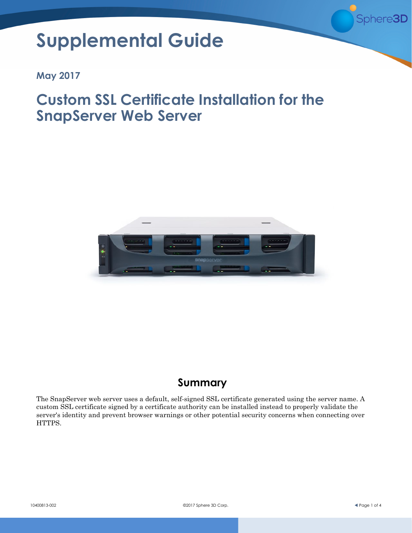

# **Supplemental Guide**

**May 2017**

# **Custom SSL Certificate Installation for the SnapServer Web Server**



# **Summary**

The SnapServer web server uses a default, self-signed SSL certificate generated using the server name. A custom SSL certificate signed by a certificate authority can be installed instead to properly validate the server's identity and prevent browser warnings or other potential security concerns when connecting over HTTPS.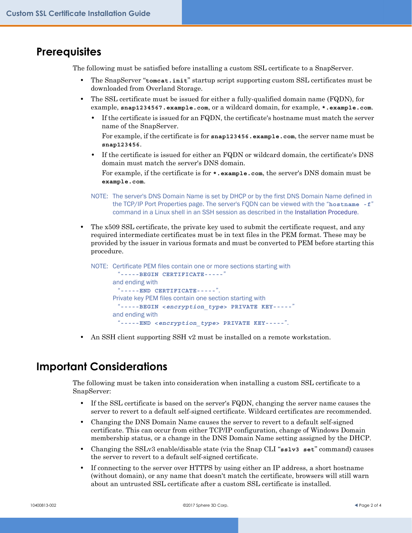#### **Prerequisites**

The following must be satisfied before installing a custom SSL certificate to a SnapServer.

- **•** The SnapServer "**tomcat.init**" startup script supporting custom SSL certificates must be downloaded from Overland Storage.
- **•** The SSL certificate must be issued for either a fully-qualified domain name (FQDN), for example, **snap1234567.example.com**, or a wildcard domain, for example, **\*.example.com**.
	- **•** If the certificate is issued for an FQDN, the certificate's hostname must match the server name of the SnapServer.

For example, if the certificate is for **snap123456.example.com**, the server name must be **snap123456**.

**•** If the certificate is issued for either an FQDN or wildcard domain, the certificate's DNS domain must match the server's DNS domain.

For example, if the certificate is for **\*.example.com**, the server's DNS domain must be **example.com**.

- NOTE: The server's DNS Domain Name is set by DHCP or by the first DNS Domain Name defined in the TCP/IP Port Properties page. The server's FQDN can be viewed with the "**hostname -f**" command in a Linux shell in an SSH session as described in the [Installation Procedure](#page-2-0).
- **•** The x509 SSL certificate, the private key used to submit the certificate request, and any required intermediate certificates must be in text files in the PEM format. These may be provided by the issuer in various formats and must be converted to PEM before starting this procedure.

NOTE: Certificate PEM files contain one or more sections starting with "**-----BEGIN CERTIFICATE-----**" and ending with "**-----END CERTIFICATE-----**". Private key PEM files contain one section starting with "**-----BEGIN <***encryption\_type***> PRIVATE KEY-----**" and ending with "**-----END <***encryption\_type***> PRIVATE KEY-----**".

**•** An SSH client supporting SSH v2 must be installed on a remote workstation.

## **Important Considerations**

The following must be taken into consideration when installing a custom SSL certificate to a SnapServer:

- **•** If the SSL certificate is based on the server's FQDN, changing the server name causes the server to revert to a default self-signed certificate. Wildcard certificates are recommended.
- **•** Changing the DNS Domain Name causes the server to revert to a default self-signed certificate. This can occur from either TCP/IP configuration, change of Windows Domain membership status, or a change in the DNS Domain Name setting assigned by the DHCP.
- **•** Changing the SSLv3 enable/disable state (via the Snap CLI "**sslv3 set**" command) causes the server to revert to a default self-signed certificate.
- **•** If connecting to the server over HTTPS by using either an IP address, a short hostname (without domain), or any name that doesn't match the certificate, browsers will still warn about an untrusted SSL certificate after a custom SSL certificate is installed.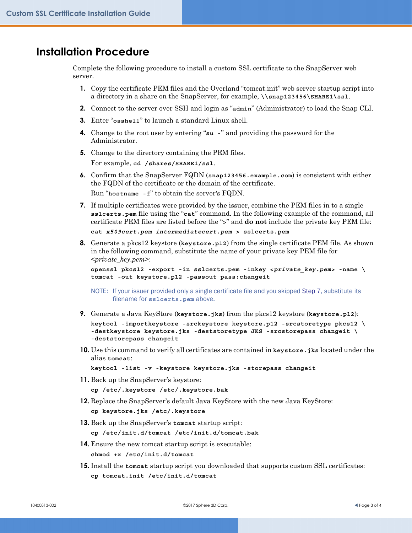#### <span id="page-2-0"></span>**Installation Procedure**

Complete the following procedure to install a custom SSL certificate to the SnapServer web server.

- **1.** Copy the certificate PEM files and the Overland "tomcat.init" web server startup script into a directory in a share on the SnapServer, for example, **\\snap123456\SHARE1\ssl**.
- **2.** Connect to the server over SSH and login as "**admin**" (Administrator) to load the Snap CLI.
- **3.** Enter "**osshell**" to launch a standard Linux shell.
- **4.** Change to the root user by entering "**su -**" and providing the password for the Administrator.
- **5.** Change to the directory containing the PEM files. For example, **cd /shares/SHARE1/ssl**.
- **6.** Confirm that the SnapServer FQDN (**snap123456.example.com**) is consistent with either the FQDN of the certificate or the domain of the certificate.

Run "**hostname -f**" to obtain the server's FQDN.

<span id="page-2-1"></span>**7.** If multiple certificates were provided by the issuer, combine the PEM files in to a single **sslcerts.pem** file using the "**cat**" command. In the following example of the command, all certificate PEM files are listed before the "**>**" and **do not** include the private key PEM file:

**cat** *x509cert.pem intermediatecert.pem* **> sslcerts.pem**

**8.** Generate a pkcs12 keystore (**keystore.p12**) from the single certificate PEM file. As shown in the following command, substitute the name of your private key PEM file for <*private\_key.pem*>:

```
openssl pkcs12 -export -in sslcerts.pem -inkey <private_key.pem> -name \ 
tomcat -out keystore.p12 -passout pass:changeit
```
NOTE: If your issuer provided only a single certificate file and you skipped [Step 7,](#page-2-1) substitute its filename for **sslcerts.pem** above.

- **9.** Generate a Java KeyStore (**keystore.jks**) from the pkcs12 keystore (**keystore.p12**): **keytool -importkeystore -srckeystore keystore.p12 -srcstoretype pkcs12 \ -destkeystore keystore.jks -deststoretype JKS -srcstorepass changeit \ -deststorepass changeit**
- **10.** Use this command to verify all certificates are contained in **keystore.jks** located under the alias **tomcat**:

**keytool -list -v -keystore keystore.jks -storepass changeit**

**11.** Back up the SnapServer's keystore:

**cp /etc/.keystore /etc/.keystore.bak**

- **12.** Replace the SnapServer's default Java KeyStore with the new Java KeyStore: **cp keystore.jks /etc/.keystore**
- **13.** Back up the SnapServer's **tomcat** startup script:

**cp /etc/init.d/tomcat /etc/init.d/tomcat.bak**

- **14.** Ensure the new tomcat startup script is executable: **chmod +x /etc/init.d/tomcat**
- **15.** Install the **tomcat** startup script you downloaded that supports custom SSL certificates: **cp tomcat.init /etc/init.d/tomcat**